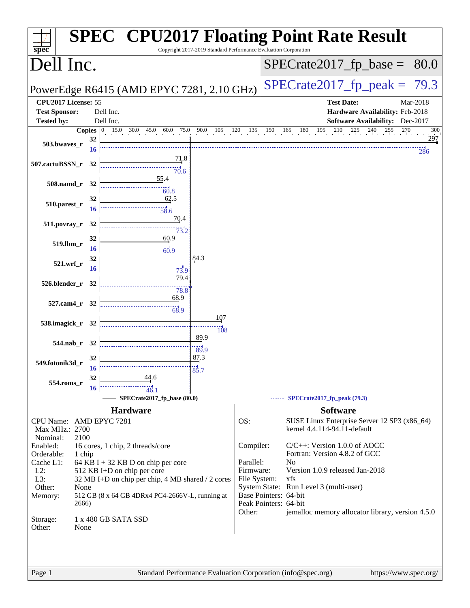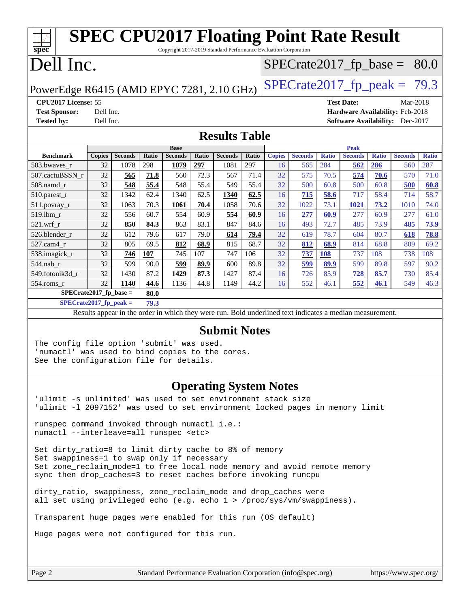| <b>SPEC CPU2017 Floating Point Rate Result</b>                                                           |               |                |       |                |       |                |       |               |                |              |                |              |                                        |              |
|----------------------------------------------------------------------------------------------------------|---------------|----------------|-------|----------------|-------|----------------|-------|---------------|----------------|--------------|----------------|--------------|----------------------------------------|--------------|
| Copyright 2017-2019 Standard Performance Evaluation Corporation<br>spec <sup>®</sup>                     |               |                |       |                |       |                |       |               |                |              |                |              |                                        |              |
| Dell Inc.<br>$SPECTate2017_fp\_base = 80.0$                                                              |               |                |       |                |       |                |       |               |                |              |                |              |                                        |              |
| $SPECTate2017_fp\_peak = 79.3$<br>PowerEdge R6415 (AMD EPYC 7281, 2.10 GHz)                              |               |                |       |                |       |                |       |               |                |              |                |              |                                        |              |
| CPU2017 License: 55<br><b>Test Date:</b><br>Mar-2018                                                     |               |                |       |                |       |                |       |               |                |              |                |              |                                        |              |
| <b>Test Sponsor:</b>                                                                                     | Dell Inc.     |                |       |                |       |                |       |               |                |              |                |              | Hardware Availability: Feb-2018        |              |
| <b>Tested by:</b>                                                                                        | Dell Inc.     |                |       |                |       |                |       |               |                |              |                |              | <b>Software Availability:</b> Dec-2017 |              |
| <b>Results Table</b>                                                                                     |               |                |       |                |       |                |       |               |                |              |                |              |                                        |              |
|                                                                                                          |               |                |       | <b>Base</b>    |       |                |       |               |                |              | <b>Peak</b>    |              |                                        |              |
| <b>Benchmark</b>                                                                                         | <b>Copies</b> | <b>Seconds</b> | Ratio | <b>Seconds</b> | Ratio | <b>Seconds</b> | Ratio | <b>Copies</b> | <b>Seconds</b> | <b>Ratio</b> | <b>Seconds</b> | <b>Ratio</b> | <b>Seconds</b>                         | <b>Ratio</b> |
| 503.bwaves r                                                                                             | 32            | 1078           | 298   | 1079           | 297   | 1081           | 297   | 16            | 565            | 284          | 562            | 286          | 560                                    | 287          |
| 507.cactuBSSN_r                                                                                          | 32            | 565            | 71.8  | 560            | 72.3  | 567            | 71.4  | 32            | 575            | 70.5         | 574            | 70.6         | 570                                    | 71.0         |
| $508$ .namd $r$                                                                                          | 32            | 548            | 55.4  | 548            | 55.4  | 549            | 55.4  | 32            | 500            | 60.8         | 500            | 60.8         | 500                                    | 60.8         |
| 510.parest_r                                                                                             | 32            | 1342           | 62.4  | 1340           | 62.5  | 1340           | 62.5  | 16            | 715            | 58.6         | 717            | 58.4         | 714                                    | 58.7         |
| 511.povray_r                                                                                             | 32            | 1063           | 70.3  | 1061           | 70.4  | 1058           | 70.6  | 32            | 1022           | 73.1         | 1021           | 73.2         | 1010                                   | 74.0         |
| 519.lbm r                                                                                                | 32            | 556            | 60.7  | 554            | 60.9  | 554            | 60.9  | 16            | 277            | 60.9         | 277            | 60.9         | 277                                    | 61.0         |
| $521.wrf_r$                                                                                              | 32            | 850            | 84.3  | 863            | 83.1  | 847            | 84.6  | 16            | 493            | 72.7         | 485            | 73.9         | 485                                    | 73.9         |
| 526.blender_r                                                                                            | 32            | 612            | 79.6  | 617            | 79.0  | 614            | 79.4  | 32            | 619            | 78.7         | 604            | 80.7         | 618                                    | 78.8         |
| 527.cam4_r                                                                                               | 32            | 805            | 69.5  | 812            | 68.9  | 815            | 68.7  | 32            | 812            | 68.9         | 814            | 68.8         | 809                                    | 69.2         |
| 538.imagick_r                                                                                            | 32            | 746            | 107   | 745            | 107   | 747            | 106   | 32            | 737            | 108          | 737            | 108          | 738                                    | 108          |
| 544.nab r                                                                                                | 32            | 599            | 90.0  | 599            | 89.9  | 600            | 89.8  | 32            | 599            | 89.9         | 599            | 89.8         | 597                                    | 90.2         |
| 549.fotonik3d r                                                                                          | 32            | 1430           | 87.2  | 1429           | 87.3  | 1427           | 87.4  | 16            | 726            | 85.9         | 728            | 85.7         | 730                                    | 85.4         |
| 554.roms r                                                                                               | 32            | 1140           | 44.6  | 1136           | 44.8  | 1149           | 44.2  | 16            | 552            | 46.1         | 552            | 46.1         | 549                                    | 46.3         |
| $SPECrate2017_fp\_base =$                                                                                |               |                | 80.0  |                |       |                |       |               |                |              |                |              |                                        |              |
| $SPECrate2017_fp_peak =$<br>79.3                                                                         |               |                |       |                |       |                |       |               |                |              |                |              |                                        |              |
| Results appear in the order in which they were run. Bold underlined text indicates a median measurement. |               |                |       |                |       |                |       |               |                |              |                |              |                                        |              |
| $C_{\text{L}}$ $\mathbf{L}$ $\mathbf{L}$ $\mathbf{M}$ $\mathbf{A}$                                       |               |                |       |                |       |                |       |               |                |              |                |              |                                        |              |

### **[Submit Notes](http://www.spec.org/auto/cpu2017/Docs/result-fields.html#SubmitNotes)**

The config file option 'submit' was used. 'numactl' was used to bind copies to the cores. See the configuration file for details.

### **[Operating System Notes](http://www.spec.org/auto/cpu2017/Docs/result-fields.html#OperatingSystemNotes)**

'ulimit -s unlimited' was used to set environment stack size 'ulimit -l 2097152' was used to set environment locked pages in memory limit

runspec command invoked through numactl i.e.: numactl --interleave=all runspec <etc>

Set dirty ratio=8 to limit dirty cache to 8% of memory Set swappiness=1 to swap only if necessary Set zone\_reclaim\_mode=1 to free local node memory and avoid remote memory sync then drop\_caches=3 to reset caches before invoking runcpu

dirty\_ratio, swappiness, zone\_reclaim\_mode and drop\_caches were all set using privileged echo (e.g. echo 1 > /proc/sys/vm/swappiness).

Transparent huge pages were enabled for this run (OS default)

Huge pages were not configured for this run.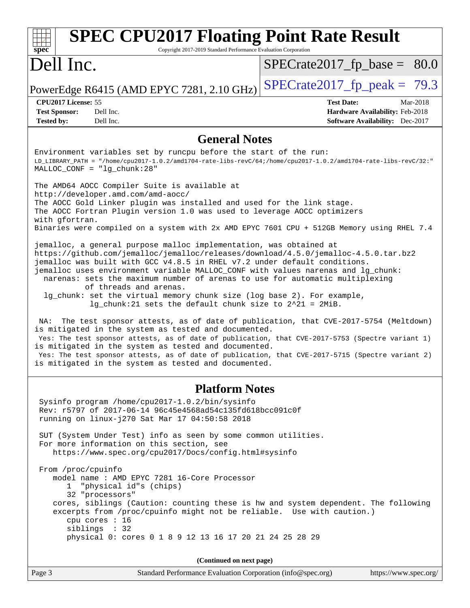| <b>SPEC CPU2017 Floating Point Rate Result</b><br>$spec^*$<br>Copyright 2017-2019 Standard Performance Evaluation Corporation                                                                                                                                                                                                                                                                                                                                                                                                                                                           |                                                                  |  |  |  |  |
|-----------------------------------------------------------------------------------------------------------------------------------------------------------------------------------------------------------------------------------------------------------------------------------------------------------------------------------------------------------------------------------------------------------------------------------------------------------------------------------------------------------------------------------------------------------------------------------------|------------------------------------------------------------------|--|--|--|--|
| Dell Inc.                                                                                                                                                                                                                                                                                                                                                                                                                                                                                                                                                                               | $SPECrate2017_fp\_base = 80.0$                                   |  |  |  |  |
| PowerEdge R6415 (AMD EPYC 7281, 2.10 GHz)                                                                                                                                                                                                                                                                                                                                                                                                                                                                                                                                               | $SPECrate2017_fp\_peak = 79.3$                                   |  |  |  |  |
| CPU2017 License: 55<br>Dell Inc.<br><b>Test Sponsor:</b>                                                                                                                                                                                                                                                                                                                                                                                                                                                                                                                                | Mar-2018<br><b>Test Date:</b><br>Hardware Availability: Feb-2018 |  |  |  |  |
| <b>Tested by:</b><br>Dell Inc.                                                                                                                                                                                                                                                                                                                                                                                                                                                                                                                                                          | <b>Software Availability:</b> Dec-2017                           |  |  |  |  |
| <b>General Notes</b>                                                                                                                                                                                                                                                                                                                                                                                                                                                                                                                                                                    |                                                                  |  |  |  |  |
| Environment variables set by runcpu before the start of the run:<br>$LD_LIBRARY\_PATH = */home/cpu2017-1.0.2/amd1704-rate-1ibs-revC/64://home/cpu2017-1.0.2/amd1704-rate-1ibs-revC/32:""=1.0.2/amd1704-rate-1ibs-revC/32:""=1.0.2/amb1704-rate-110.2/amb1704-rate-110.2/amb1704-rate-110.2/amb1704-rate-110.2/amb1704-rate-110.2/amb1704-rate-110.2/amb1704-rate-110.2/amb1704-rate-110.2/amb170$<br>$MALLOC$ $CONF = "lg_chunk:28"$                                                                                                                                                    |                                                                  |  |  |  |  |
| The AMD64 AOCC Compiler Suite is available at                                                                                                                                                                                                                                                                                                                                                                                                                                                                                                                                           |                                                                  |  |  |  |  |
| http://developer.amd.com/amd-aocc/<br>The AOCC Gold Linker plugin was installed and used for the link stage.<br>The AOCC Fortran Plugin version 1.0 was used to leverage AOCC optimizers<br>with gfortran.                                                                                                                                                                                                                                                                                                                                                                              |                                                                  |  |  |  |  |
| Binaries were compiled on a system with 2x AMD EPYC 7601 CPU + 512GB Memory using RHEL 7.4                                                                                                                                                                                                                                                                                                                                                                                                                                                                                              |                                                                  |  |  |  |  |
| jemalloc, a general purpose malloc implementation, was obtained at<br>https://github.com/jemalloc/jemalloc/releases/download/4.5.0/jemalloc-4.5.0.tar.bz2<br>jemalloc was built with GCC v4.8.5 in RHEL v7.2 under default conditions.<br>jemalloc uses environment variable MALLOC_CONF with values narenas and lg_chunk:<br>narenas: sets the maximum number of arenas to use for automatic multiplexing<br>of threads and arenas.<br>lg_chunk: set the virtual memory chunk size (log base 2). For example,<br>$lg_{\text{c}}$ chunk: 21 sets the default chunk size to 2^21 = 2MiB. |                                                                  |  |  |  |  |
| The test sponsor attests, as of date of publication, that CVE-2017-5754 (Meltdown)<br>NA:<br>is mitigated in the system as tested and documented.<br>Yes: The test sponsor attests, as of date of publication, that CVE-2017-5753 (Spectre variant 1)<br>is mitigated in the system as tested and documented.<br>Yes: The test sponsor attests, as of date of publication, that CVE-2017-5715 (Spectre variant 2)<br>is mitigated in the system as tested and documented.                                                                                                               |                                                                  |  |  |  |  |
| <b>Platform Notes</b>                                                                                                                                                                                                                                                                                                                                                                                                                                                                                                                                                                   |                                                                  |  |  |  |  |
| Sysinfo program /home/cpu2017-1.0.2/bin/sysinfo<br>Rev: r5797 of 2017-06-14 96c45e4568ad54c135fd618bcc091c0f<br>running on linux-j270 Sat Mar 17 04:50:58 2018                                                                                                                                                                                                                                                                                                                                                                                                                          |                                                                  |  |  |  |  |
| SUT (System Under Test) info as seen by some common utilities.<br>For more information on this section, see<br>https://www.spec.org/cpu2017/Docs/config.html#sysinfo                                                                                                                                                                                                                                                                                                                                                                                                                    |                                                                  |  |  |  |  |
| From /proc/cpuinfo<br>model name: AMD EPYC 7281 16-Core Processor<br>1 "physical id"s (chips)<br>32 "processors"                                                                                                                                                                                                                                                                                                                                                                                                                                                                        |                                                                  |  |  |  |  |
| cores, siblings (Caution: counting these is hw and system dependent. The following<br>excerpts from /proc/cpuinfo might not be reliable. Use with caution.)<br>cpu cores : 16<br>siblings : 32                                                                                                                                                                                                                                                                                                                                                                                          |                                                                  |  |  |  |  |
| physical 0: cores 0 1 8 9 12 13 16 17 20 21 24 25 28 29                                                                                                                                                                                                                                                                                                                                                                                                                                                                                                                                 |                                                                  |  |  |  |  |
| (Continued on next page)                                                                                                                                                                                                                                                                                                                                                                                                                                                                                                                                                                |                                                                  |  |  |  |  |
| Page 3<br>Standard Performance Evaluation Corporation (info@spec.org)                                                                                                                                                                                                                                                                                                                                                                                                                                                                                                                   | https://www.spec.org/                                            |  |  |  |  |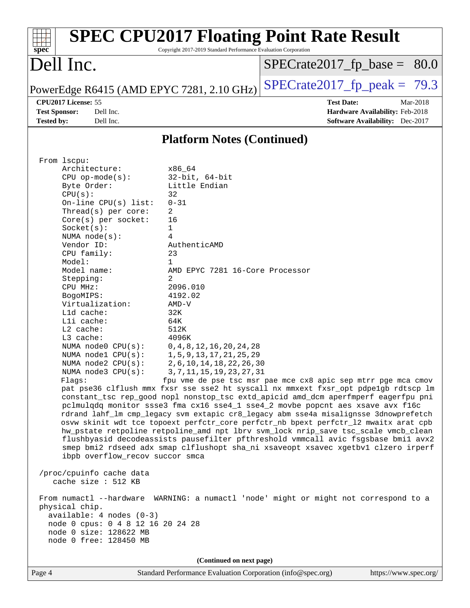|                                                                                                                                       |                                                                 | <b>SPEC CPU2017 Floating Point Rate Result</b>                                                                                                                                                                                                                                                                                                                                                                                                                                                                                                                                                                                                                                                                                                                               |
|---------------------------------------------------------------------------------------------------------------------------------------|-----------------------------------------------------------------|------------------------------------------------------------------------------------------------------------------------------------------------------------------------------------------------------------------------------------------------------------------------------------------------------------------------------------------------------------------------------------------------------------------------------------------------------------------------------------------------------------------------------------------------------------------------------------------------------------------------------------------------------------------------------------------------------------------------------------------------------------------------------|
| spec <sup>®</sup>                                                                                                                     | Copyright 2017-2019 Standard Performance Evaluation Corporation |                                                                                                                                                                                                                                                                                                                                                                                                                                                                                                                                                                                                                                                                                                                                                                              |
| Dell Inc.                                                                                                                             |                                                                 | $SPECrate2017_fp\_base = 80.0$                                                                                                                                                                                                                                                                                                                                                                                                                                                                                                                                                                                                                                                                                                                                               |
| PowerEdge R6415 (AMD EPYC 7281, 2.10 GHz)                                                                                             |                                                                 | $SPECTate2017fr peak = 79.3$                                                                                                                                                                                                                                                                                                                                                                                                                                                                                                                                                                                                                                                                                                                                                 |
| CPU2017 License: 55                                                                                                                   |                                                                 | <b>Test Date:</b><br>Mar-2018                                                                                                                                                                                                                                                                                                                                                                                                                                                                                                                                                                                                                                                                                                                                                |
| <b>Test Sponsor:</b><br>Dell Inc.<br>Dell Inc.<br><b>Tested by:</b>                                                                   |                                                                 | Hardware Availability: Feb-2018<br><b>Software Availability:</b> Dec-2017                                                                                                                                                                                                                                                                                                                                                                                                                                                                                                                                                                                                                                                                                                    |
|                                                                                                                                       | <b>Platform Notes (Continued)</b>                               |                                                                                                                                                                                                                                                                                                                                                                                                                                                                                                                                                                                                                                                                                                                                                                              |
|                                                                                                                                       |                                                                 |                                                                                                                                                                                                                                                                                                                                                                                                                                                                                                                                                                                                                                                                                                                                                                              |
| From lscpu:                                                                                                                           |                                                                 |                                                                                                                                                                                                                                                                                                                                                                                                                                                                                                                                                                                                                                                                                                                                                                              |
| Architecture:<br>$CPU$ op-mode( $s$ ):                                                                                                | x86 64<br>$32$ -bit, $64$ -bit                                  |                                                                                                                                                                                                                                                                                                                                                                                                                                                                                                                                                                                                                                                                                                                                                                              |
| Byte Order:                                                                                                                           | Little Endian                                                   |                                                                                                                                                                                                                                                                                                                                                                                                                                                                                                                                                                                                                                                                                                                                                                              |
| CPU(s):                                                                                                                               | 32                                                              |                                                                                                                                                                                                                                                                                                                                                                                                                                                                                                                                                                                                                                                                                                                                                                              |
| On-line $CPU(s)$ list:                                                                                                                | $0 - 31$                                                        |                                                                                                                                                                                                                                                                                                                                                                                                                                                                                                                                                                                                                                                                                                                                                                              |
| Thread(s) per core:                                                                                                                   | 2                                                               |                                                                                                                                                                                                                                                                                                                                                                                                                                                                                                                                                                                                                                                                                                                                                                              |
| Core(s) per socket:                                                                                                                   | 16                                                              |                                                                                                                                                                                                                                                                                                                                                                                                                                                                                                                                                                                                                                                                                                                                                                              |
| Socket(s):                                                                                                                            | 1                                                               |                                                                                                                                                                                                                                                                                                                                                                                                                                                                                                                                                                                                                                                                                                                                                                              |
| NUMA $node(s):$                                                                                                                       | 4                                                               |                                                                                                                                                                                                                                                                                                                                                                                                                                                                                                                                                                                                                                                                                                                                                                              |
| Vendor ID:                                                                                                                            | AuthenticAMD                                                    |                                                                                                                                                                                                                                                                                                                                                                                                                                                                                                                                                                                                                                                                                                                                                                              |
| CPU family:<br>Model:                                                                                                                 | 23<br>1                                                         |                                                                                                                                                                                                                                                                                                                                                                                                                                                                                                                                                                                                                                                                                                                                                                              |
| Model name:                                                                                                                           | AMD EPYC 7281 16-Core Processor                                 |                                                                                                                                                                                                                                                                                                                                                                                                                                                                                                                                                                                                                                                                                                                                                                              |
| Stepping:                                                                                                                             | 2                                                               |                                                                                                                                                                                                                                                                                                                                                                                                                                                                                                                                                                                                                                                                                                                                                                              |
| CPU MHz:                                                                                                                              | 2096.010                                                        |                                                                                                                                                                                                                                                                                                                                                                                                                                                                                                                                                                                                                                                                                                                                                                              |
| BogoMIPS:                                                                                                                             | 4192.02                                                         |                                                                                                                                                                                                                                                                                                                                                                                                                                                                                                                                                                                                                                                                                                                                                                              |
| Virtualization:                                                                                                                       | $AMD-V$                                                         |                                                                                                                                                                                                                                                                                                                                                                                                                                                                                                                                                                                                                                                                                                                                                                              |
| L1d cache:                                                                                                                            | 32K                                                             |                                                                                                                                                                                                                                                                                                                                                                                                                                                                                                                                                                                                                                                                                                                                                                              |
| Lli cache:                                                                                                                            | 64K                                                             |                                                                                                                                                                                                                                                                                                                                                                                                                                                                                                                                                                                                                                                                                                                                                                              |
| L2 cache:                                                                                                                             | 512K                                                            |                                                                                                                                                                                                                                                                                                                                                                                                                                                                                                                                                                                                                                                                                                                                                                              |
| L3 cache:                                                                                                                             | 4096K                                                           |                                                                                                                                                                                                                                                                                                                                                                                                                                                                                                                                                                                                                                                                                                                                                                              |
| NUMA node0 CPU(s):                                                                                                                    | 0, 4, 8, 12, 16, 20, 24, 28                                     |                                                                                                                                                                                                                                                                                                                                                                                                                                                                                                                                                                                                                                                                                                                                                                              |
| NUMA nodel CPU(s):                                                                                                                    | 1, 5, 9, 13, 17, 21, 25, 29                                     |                                                                                                                                                                                                                                                                                                                                                                                                                                                                                                                                                                                                                                                                                                                                                                              |
| NUMA node2 CPU(s):                                                                                                                    | 2, 6, 10, 14, 18, 22, 26, 30                                    |                                                                                                                                                                                                                                                                                                                                                                                                                                                                                                                                                                                                                                                                                                                                                                              |
| NUMA node3 CPU(s):                                                                                                                    | 3, 7, 11, 15, 19, 23, 27, 31                                    |                                                                                                                                                                                                                                                                                                                                                                                                                                                                                                                                                                                                                                                                                                                                                                              |
| Flaqs:<br>ibpb overflow_recov succor smca                                                                                             |                                                                 | fpu vme de pse tsc msr pae mce cx8 apic sep mtrr pge mca cmov<br>pat pse36 clflush mmx fxsr sse sse2 ht syscall nx mmxext fxsr_opt pdpe1gb rdtscp lm<br>constant_tsc rep_good nopl nonstop_tsc extd_apicid amd_dcm aperfmperf eagerfpu pni<br>pclmulqdq monitor ssse3 fma cx16 sse4_1 sse4_2 movbe popcnt aes xsave avx f16c<br>rdrand lahf_lm cmp_legacy svm extapic cr8_legacy abm sse4a misalignsse 3dnowprefetch<br>osvw skinit wdt tce topoext perfctr_core perfctr_nb bpext perfctr_12 mwaitx arat cpb<br>hw_pstate retpoline retpoline_amd npt lbrv svm_lock nrip_save tsc_scale vmcb_clean<br>flushbyasid decodeassists pausefilter pfthreshold vmmcall avic fsgsbase bmil avx2<br>smep bmi2 rdseed adx smap clflushopt sha_ni xsaveopt xsavec xgetbvl clzero irperf |
| /proc/cpuinfo cache data<br>cache size : 512 KB                                                                                       |                                                                 |                                                                                                                                                                                                                                                                                                                                                                                                                                                                                                                                                                                                                                                                                                                                                                              |
| physical chip.<br>$available: 4 nodes (0-3)$<br>node 0 cpus: 0 4 8 12 16 20 24 28<br>node 0 size: 128622 MB<br>node 0 free: 128450 MB |                                                                 | From numactl --hardware WARNING: a numactl 'node' might or might not correspond to a                                                                                                                                                                                                                                                                                                                                                                                                                                                                                                                                                                                                                                                                                         |
|                                                                                                                                       |                                                                 |                                                                                                                                                                                                                                                                                                                                                                                                                                                                                                                                                                                                                                                                                                                                                                              |
|                                                                                                                                       | (Continued on next page)                                        |                                                                                                                                                                                                                                                                                                                                                                                                                                                                                                                                                                                                                                                                                                                                                                              |

Page 4 Standard Performance Evaluation Corporation [\(info@spec.org\)](mailto:info@spec.org) <https://www.spec.org/>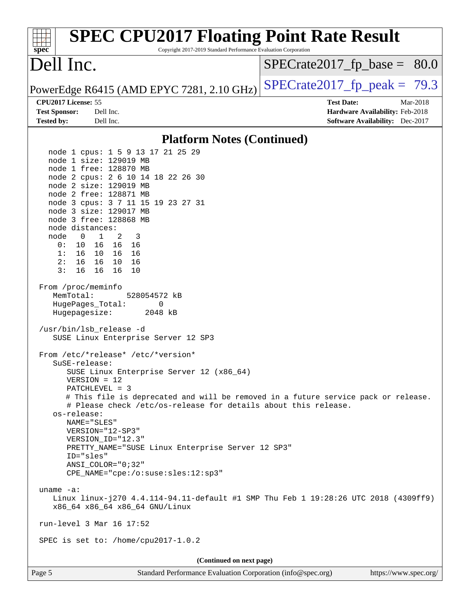| <b>SPEC CPU2017 Floating Point Rate Result</b><br>Copyright 2017-2019 Standard Performance Evaluation Corporation<br>$spec^*$                                                                                                                                                                                                                                                                                                                                                                                                                                                                                                                                                                                         |                                                                                                            |
|-----------------------------------------------------------------------------------------------------------------------------------------------------------------------------------------------------------------------------------------------------------------------------------------------------------------------------------------------------------------------------------------------------------------------------------------------------------------------------------------------------------------------------------------------------------------------------------------------------------------------------------------------------------------------------------------------------------------------|------------------------------------------------------------------------------------------------------------|
| Dell Inc.                                                                                                                                                                                                                                                                                                                                                                                                                                                                                                                                                                                                                                                                                                             | $SPECrate2017_fp\_base =$<br>80.0                                                                          |
| PowerEdge R6415 (AMD EPYC 7281, 2.10 GHz)                                                                                                                                                                                                                                                                                                                                                                                                                                                                                                                                                                                                                                                                             | $SPECrate2017_fp\_peak = 79.3$                                                                             |
| CPU2017 License: 55<br><b>Test Sponsor:</b><br>Dell Inc.<br><b>Tested by:</b><br>Dell Inc.                                                                                                                                                                                                                                                                                                                                                                                                                                                                                                                                                                                                                            | <b>Test Date:</b><br>Mar-2018<br>Hardware Availability: Feb-2018<br><b>Software Availability:</b> Dec-2017 |
|                                                                                                                                                                                                                                                                                                                                                                                                                                                                                                                                                                                                                                                                                                                       |                                                                                                            |
| <b>Platform Notes (Continued)</b>                                                                                                                                                                                                                                                                                                                                                                                                                                                                                                                                                                                                                                                                                     |                                                                                                            |
| node 1 cpus: 1 5 9 13 17 21 25 29<br>node 1 size: 129019 MB<br>node 1 free: 128870 MB<br>node 2 cpus: 2 6 10 14 18 22 26 30<br>node 2 size: 129019 MB<br>node 2 free: 128871 MB<br>node 3 cpus: 3 7 11 15 19 23 27 31<br>node 3 size: 129017 MB<br>node 3 free: 128868 MB<br>node distances:<br>$\mathbf{1}$<br>node<br>$\overline{\mathbf{0}}$<br>2<br>-3<br>0:<br>10 16 16 16<br>1: 16 10 16 16<br>16 10 16<br>2:<br>16<br>3:<br>16<br>16 16<br>10                                                                                                                                                                                                                                                                  |                                                                                                            |
| From /proc/meminfo<br>MemTotal:<br>528054572 kB<br>HugePages_Total:<br>0<br>Hugepagesize:<br>2048 kB<br>/usr/bin/lsb_release -d<br>SUSE Linux Enterprise Server 12 SP3                                                                                                                                                                                                                                                                                                                                                                                                                                                                                                                                                |                                                                                                            |
| From /etc/*release* /etc/*version*<br>$S$ uSE-release:<br>SUSE Linux Enterprise Server 12 (x86_64)<br>$VERSION = 12$<br>PATCHLEVEL = 3<br># This file is deprecated and will be removed in a future service pack or release.<br># Please check /etc/os-release for details about this release.<br>os-release:<br>NAME="SLES"<br>VERSION="12-SP3"<br>VERSION ID="12.3"<br>PRETTY_NAME="SUSE Linux Enterprise Server 12 SP3"<br>ID="sles"<br>$ANSI$ _COLOR=" $0:32$ "<br>CPE_NAME="cpe:/o:suse:sles:12:sp3"<br>uname $-a$ :<br>Linux linux-j270 4.4.114-94.11-default #1 SMP Thu Feb 1 19:28:26 UTC 2018 (4309ff9)<br>x86_64 x86_64 x86_64 GNU/Linux<br>run-level 3 Mar 16 17:52<br>SPEC is set to: /home/cpu2017-1.0.2 |                                                                                                            |
| (Continued on next page)                                                                                                                                                                                                                                                                                                                                                                                                                                                                                                                                                                                                                                                                                              |                                                                                                            |
| Page 5<br>Standard Performance Evaluation Corporation (info@spec.org)                                                                                                                                                                                                                                                                                                                                                                                                                                                                                                                                                                                                                                                 | https://www.spec.org/                                                                                      |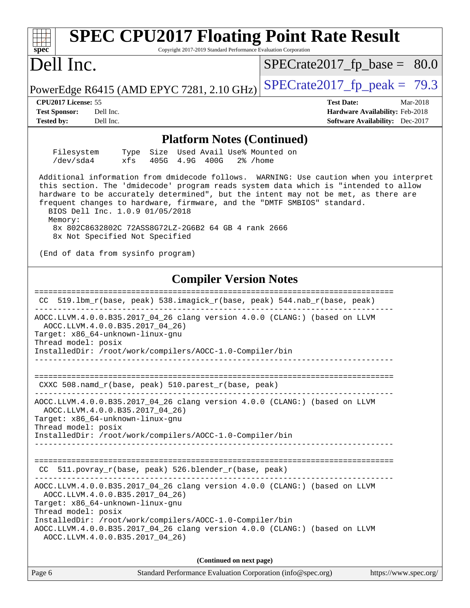| <b>SPEC CPU2017 Floating Point Rate Result</b><br>Copyright 2017-2019 Standard Performance Evaluation Corporation<br>spec <sup>®</sup>                                                                                                                                                                                                                                                                                                                                                |                                                                                                            |
|---------------------------------------------------------------------------------------------------------------------------------------------------------------------------------------------------------------------------------------------------------------------------------------------------------------------------------------------------------------------------------------------------------------------------------------------------------------------------------------|------------------------------------------------------------------------------------------------------------|
| Dell Inc.                                                                                                                                                                                                                                                                                                                                                                                                                                                                             | $SPECrate2017_fp\_base = 80.0$                                                                             |
| PowerEdge R6415 (AMD EPYC 7281, 2.10 GHz)                                                                                                                                                                                                                                                                                                                                                                                                                                             | $SPECrate2017_fp\_peak = 79.3$                                                                             |
| CPU <sub>2017</sub> License: 55<br>Dell Inc.<br><b>Test Sponsor:</b><br>Dell Inc.<br><b>Tested by:</b>                                                                                                                                                                                                                                                                                                                                                                                | <b>Test Date:</b><br>Mar-2018<br>Hardware Availability: Feb-2018<br><b>Software Availability:</b> Dec-2017 |
| <b>Platform Notes (Continued)</b>                                                                                                                                                                                                                                                                                                                                                                                                                                                     |                                                                                                            |
| Filesystem<br>Size Used Avail Use% Mounted on<br>Type<br>/dev/sda4<br>xfs<br>405G 4.9G 400G<br>$2\%$ /home                                                                                                                                                                                                                                                                                                                                                                            |                                                                                                            |
| Additional information from dmidecode follows. WARNING: Use caution when you interpret<br>this section. The 'dmidecode' program reads system data which is "intended to allow<br>hardware to be accurately determined", but the intent may not be met, as there are<br>frequent changes to hardware, firmware, and the "DMTF SMBIOS" standard.<br>BIOS Dell Inc. 1.0.9 01/05/2018<br>Memory:<br>8x 802C8632802C 72ASS8G72LZ-2G6B2 64 GB 4 rank 2666<br>8x Not Specified Not Specified |                                                                                                            |
| (End of data from sysinfo program)                                                                                                                                                                                                                                                                                                                                                                                                                                                    |                                                                                                            |
| <b>Compiler Version Notes</b>                                                                                                                                                                                                                                                                                                                                                                                                                                                         |                                                                                                            |
| 519.1bm_r(base, peak) 538.imagick_r(base, peak) 544.nab_r(base, peak)<br>CC.                                                                                                                                                                                                                                                                                                                                                                                                          |                                                                                                            |
| AOCC.LLVM.4.0.0.B35.2017_04_26 clang version 4.0.0 (CLANG:) (based on LLVM<br>AOCC.LLVM.4.0.0.B35.2017 04 26)<br>Target: x86_64-unknown-linux-gnu<br>Thread model: posix<br>InstalledDir: /root/work/compilers/AOCC-1.0-Compiler/bin                                                                                                                                                                                                                                                  |                                                                                                            |
| CXXC 508.namd_r(base, peak) 510.parest_r(base, peak)                                                                                                                                                                                                                                                                                                                                                                                                                                  |                                                                                                            |
| AOCC.LLVM.4.0.0.B35.2017_04_26 clang version 4.0.0 (CLANG:) (based on LLVM<br>AOCC.LLVM.4.0.0.B35.2017_04_26)<br>Target: x86_64-unknown-linux-gnu<br>Thread model: posix<br>InstalledDir: /root/work/compilers/AOCC-1.0-Compiler/bin<br>________________________________                                                                                                                                                                                                              |                                                                                                            |
| CC 511.povray_r(base, peak) 526.blender_r(base, peak)<br>---------------------------------                                                                                                                                                                                                                                                                                                                                                                                            |                                                                                                            |
| AOCC.LLVM.4.0.0.B35.2017_04_26 clang version 4.0.0 (CLANG:) (based on LLVM<br>AOCC.LLVM.4.0.0.B35.2017_04_26)<br>Target: x86_64-unknown-linux-gnu<br>Thread model: posix<br>InstalledDir: /root/work/compilers/AOCC-1.0-Compiler/bin<br>AOCC.LLVM.4.0.0.B35.2017_04_26 clang version 4.0.0 (CLANG:) (based on LLVM<br>AOCC.LLVM.4.0.0.B35.2017_04_26)                                                                                                                                 |                                                                                                            |
| (Continued on next page)                                                                                                                                                                                                                                                                                                                                                                                                                                                              |                                                                                                            |
| Page 6<br>Standard Performance Evaluation Corporation (info@spec.org)                                                                                                                                                                                                                                                                                                                                                                                                                 | https://www.spec.org/                                                                                      |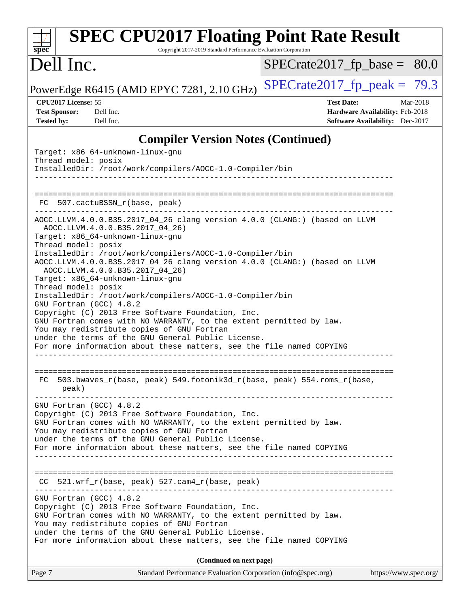| $spec^*$                                                         | <b>SPEC CPU2017 Floating Point Rate Result</b><br>Copyright 2017-2019 Standard Performance Evaluation Corporation                                                                                                                                                                                                               |                                |                                                                                       |
|------------------------------------------------------------------|---------------------------------------------------------------------------------------------------------------------------------------------------------------------------------------------------------------------------------------------------------------------------------------------------------------------------------|--------------------------------|---------------------------------------------------------------------------------------|
| Dell Inc.                                                        |                                                                                                                                                                                                                                                                                                                                 | $SPECrate2017_fp\_base = 80.0$ |                                                                                       |
|                                                                  | PowerEdge R6415 (AMD EPYC 7281, 2.10 GHz)                                                                                                                                                                                                                                                                                       | $SPECrate2017_fp\_peak = 79.3$ |                                                                                       |
| CPU2017 License: 55<br><b>Test Sponsor:</b><br><b>Tested by:</b> | Dell Inc.<br>Dell Inc.                                                                                                                                                                                                                                                                                                          | <b>Test Date:</b>              | Mar-2018<br>Hardware Availability: Feb-2018<br><b>Software Availability:</b> Dec-2017 |
|                                                                  | <b>Compiler Version Notes (Continued)</b>                                                                                                                                                                                                                                                                                       |                                |                                                                                       |
| Thread model: posix                                              | Target: x86_64-unknown-linux-gnu<br>InstalledDir: /root/work/compilers/AOCC-1.0-Compiler/bin                                                                                                                                                                                                                                    |                                |                                                                                       |
| FC                                                               | 507.cactuBSSN_r(base, peak)                                                                                                                                                                                                                                                                                                     |                                |                                                                                       |
| Thread model: posix                                              | AOCC.LLVM.4.0.0.B35.2017_04_26 clang version 4.0.0 (CLANG:) (based on LLVM<br>AOCC.LLVM.4.0.0.B35.2017_04_26)<br>Target: x86_64-unknown-linux-gnu                                                                                                                                                                               |                                |                                                                                       |
| Thread model: posix                                              | InstalledDir: /root/work/compilers/AOCC-1.0-Compiler/bin<br>AOCC.LLVM.4.0.0.B35.2017_04_26 clang version 4.0.0 (CLANG:) (based on LLVM<br>AOCC.LLVM.4.0.0.B35.2017_04_26)<br>Target: x86_64-unknown-linux-gnu                                                                                                                   |                                |                                                                                       |
|                                                                  | InstalledDir: /root/work/compilers/AOCC-1.0-Compiler/bin<br>GNU Fortran (GCC) 4.8.2<br>Copyright (C) 2013 Free Software Foundation, Inc.<br>GNU Fortran comes with NO WARRANTY, to the extent permitted by law.<br>You may redistribute copies of GNU Fortran<br>under the terms of the GNU General Public License.             |                                |                                                                                       |
|                                                                  | For more information about these matters, see the file named COPYING                                                                                                                                                                                                                                                            |                                |                                                                                       |
| peak)                                                            | FC 503.bwaves_r(base, peak) 549.fotonik3d_r(base, peak) 554.roms_r(base,                                                                                                                                                                                                                                                        |                                |                                                                                       |
|                                                                  | GNU Fortran (GCC) 4.8.2<br>Copyright (C) 2013 Free Software Foundation, Inc.<br>GNU Fortran comes with NO WARRANTY, to the extent permitted by law.<br>You may redistribute copies of GNU Fortran<br>under the terms of the GNU General Public License.<br>For more information about these matters, see the file named COPYING |                                |                                                                                       |
|                                                                  | CC 521.wrf_r(base, peak) 527.cam4_r(base, peak)                                                                                                                                                                                                                                                                                 |                                |                                                                                       |
|                                                                  | GNU Fortran (GCC) 4.8.2<br>Copyright (C) 2013 Free Software Foundation, Inc.<br>GNU Fortran comes with NO WARRANTY, to the extent permitted by law.<br>You may redistribute copies of GNU Fortran<br>under the terms of the GNU General Public License.<br>For more information about these matters, see the file named COPYING |                                |                                                                                       |
|                                                                  | (Continued on next page)                                                                                                                                                                                                                                                                                                        |                                |                                                                                       |
| Page 7                                                           | Standard Performance Evaluation Corporation (info@spec.org)                                                                                                                                                                                                                                                                     |                                | https://www.spec.org/                                                                 |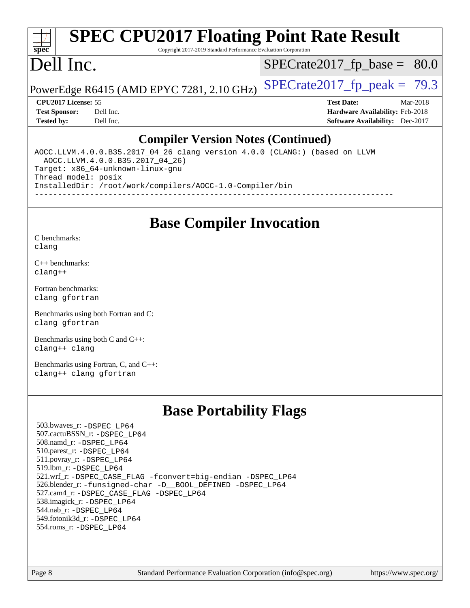## **[spec](http://www.spec.org/)**

## **[SPEC CPU2017 Floating Point Rate Result](http://www.spec.org/auto/cpu2017/Docs/result-fields.html#SPECCPU2017FloatingPointRateResult)**

Copyright 2017-2019 Standard Performance Evaluation Corporation

## Dell Inc.

 $SPECTate2017_fp\_base = 80.0$ 

PowerEdge R6415 (AMD EPYC 7281, 2.10 GHz)  $\left|$  [SPECrate2017\\_fp\\_peak =](http://www.spec.org/auto/cpu2017/Docs/result-fields.html#SPECrate2017fppeak) 79.3

**[CPU2017 License:](http://www.spec.org/auto/cpu2017/Docs/result-fields.html#CPU2017License)** 55 **[Test Date:](http://www.spec.org/auto/cpu2017/Docs/result-fields.html#TestDate)** Mar-2018 **[Test Sponsor:](http://www.spec.org/auto/cpu2017/Docs/result-fields.html#TestSponsor)** Dell Inc. **[Hardware Availability:](http://www.spec.org/auto/cpu2017/Docs/result-fields.html#HardwareAvailability)** Feb-2018 **[Tested by:](http://www.spec.org/auto/cpu2017/Docs/result-fields.html#Testedby)** Dell Inc. **[Software Availability:](http://www.spec.org/auto/cpu2017/Docs/result-fields.html#SoftwareAvailability)** Dec-2017

### **[Compiler Version Notes \(Continued\)](http://www.spec.org/auto/cpu2017/Docs/result-fields.html#CompilerVersionNotes)**

AOCC.LLVM.4.0.0.B35.2017\_04\_26 clang version 4.0.0 (CLANG:) (based on LLVM AOCC.LLVM.4.0.0.B35.2017\_04\_26) Target: x86\_64-unknown-linux-gnu Thread model: posix InstalledDir: /root/work/compilers/AOCC-1.0-Compiler/bin ------------------------------------------------------------------------------

## **[Base Compiler Invocation](http://www.spec.org/auto/cpu2017/Docs/result-fields.html#BaseCompilerInvocation)**

[C benchmarks](http://www.spec.org/auto/cpu2017/Docs/result-fields.html#Cbenchmarks): [clang](http://www.spec.org/cpu2017/results/res2018q2/cpu2017-20180319-04050.flags.html#user_CCbase_Fclang3)

[C++ benchmarks:](http://www.spec.org/auto/cpu2017/Docs/result-fields.html#CXXbenchmarks) [clang++](http://www.spec.org/cpu2017/results/res2018q2/cpu2017-20180319-04050.flags.html#user_CXXbase_Fclang3_57a48582e5be507d19b2527b3e7d4f85d9b8669ffc9a8a0dbb9bcf949a918a58bbab411e0c4d14a3922022a3e425a90db94042683824c1806feff4324ca1000d)

[Fortran benchmarks](http://www.spec.org/auto/cpu2017/Docs/result-fields.html#Fortranbenchmarks): [clang](http://www.spec.org/cpu2017/results/res2018q2/cpu2017-20180319-04050.flags.html#user_FCbase_Fclang3) [gfortran](http://www.spec.org/cpu2017/results/res2018q2/cpu2017-20180319-04050.flags.html#user_FCbase_gfortran)

[Benchmarks using both Fortran and C](http://www.spec.org/auto/cpu2017/Docs/result-fields.html#BenchmarksusingbothFortranandC): [clang](http://www.spec.org/cpu2017/results/res2018q2/cpu2017-20180319-04050.flags.html#user_CC_FCbase_Fclang3) [gfortran](http://www.spec.org/cpu2017/results/res2018q2/cpu2017-20180319-04050.flags.html#user_CC_FCbase_gfortran)

[Benchmarks using both C and C++](http://www.spec.org/auto/cpu2017/Docs/result-fields.html#BenchmarksusingbothCandCXX): [clang++](http://www.spec.org/cpu2017/results/res2018q2/cpu2017-20180319-04050.flags.html#user_CC_CXXbase_Fclang3_57a48582e5be507d19b2527b3e7d4f85d9b8669ffc9a8a0dbb9bcf949a918a58bbab411e0c4d14a3922022a3e425a90db94042683824c1806feff4324ca1000d) [clang](http://www.spec.org/cpu2017/results/res2018q2/cpu2017-20180319-04050.flags.html#user_CC_CXXbase_Fclang3)

[Benchmarks using Fortran, C, and C++:](http://www.spec.org/auto/cpu2017/Docs/result-fields.html#BenchmarksusingFortranCandCXX) [clang++](http://www.spec.org/cpu2017/results/res2018q2/cpu2017-20180319-04050.flags.html#user_CC_CXX_FCbase_Fclang3_57a48582e5be507d19b2527b3e7d4f85d9b8669ffc9a8a0dbb9bcf949a918a58bbab411e0c4d14a3922022a3e425a90db94042683824c1806feff4324ca1000d) [clang](http://www.spec.org/cpu2017/results/res2018q2/cpu2017-20180319-04050.flags.html#user_CC_CXX_FCbase_Fclang3) [gfortran](http://www.spec.org/cpu2017/results/res2018q2/cpu2017-20180319-04050.flags.html#user_CC_CXX_FCbase_gfortran)

## **[Base Portability Flags](http://www.spec.org/auto/cpu2017/Docs/result-fields.html#BasePortabilityFlags)**

 503.bwaves\_r: [-DSPEC\\_LP64](http://www.spec.org/cpu2017/results/res2018q2/cpu2017-20180319-04050.flags.html#suite_baseEXTRA_PORTABILITY503_bwaves_r_DSPEC_LP64) 507.cactuBSSN\_r: [-DSPEC\\_LP64](http://www.spec.org/cpu2017/results/res2018q2/cpu2017-20180319-04050.flags.html#suite_baseEXTRA_PORTABILITY507_cactuBSSN_r_DSPEC_LP64) 508.namd\_r: [-DSPEC\\_LP64](http://www.spec.org/cpu2017/results/res2018q2/cpu2017-20180319-04050.flags.html#suite_baseEXTRA_PORTABILITY508_namd_r_DSPEC_LP64) 510.parest\_r: [-DSPEC\\_LP64](http://www.spec.org/cpu2017/results/res2018q2/cpu2017-20180319-04050.flags.html#suite_baseEXTRA_PORTABILITY510_parest_r_DSPEC_LP64) 511.povray\_r: [-DSPEC\\_LP64](http://www.spec.org/cpu2017/results/res2018q2/cpu2017-20180319-04050.flags.html#suite_baseEXTRA_PORTABILITY511_povray_r_DSPEC_LP64) 519.lbm\_r: [-DSPEC\\_LP64](http://www.spec.org/cpu2017/results/res2018q2/cpu2017-20180319-04050.flags.html#suite_baseEXTRA_PORTABILITY519_lbm_r_DSPEC_LP64) 521.wrf\_r: [-DSPEC\\_CASE\\_FLAG](http://www.spec.org/cpu2017/results/res2018q2/cpu2017-20180319-04050.flags.html#b521.wrf_r_baseCPORTABILITY_DSPEC_CASE_FLAG) [-fconvert=big-endian](http://www.spec.org/cpu2017/results/res2018q2/cpu2017-20180319-04050.flags.html#user_baseFPORTABILITY521_wrf_r_F-fconvert:big-endian) [-DSPEC\\_LP64](http://www.spec.org/cpu2017/results/res2018q2/cpu2017-20180319-04050.flags.html#suite_baseEXTRA_PORTABILITY521_wrf_r_DSPEC_LP64) 526.blender\_r: [-funsigned-char](http://www.spec.org/cpu2017/results/res2018q2/cpu2017-20180319-04050.flags.html#user_baseCPORTABILITY526_blender_r_F-funsigned-char) [-D\\_\\_BOOL\\_DEFINED](http://www.spec.org/cpu2017/results/res2018q2/cpu2017-20180319-04050.flags.html#b526.blender_r_baseCXXPORTABILITY_D__BOOL_DEFINED) [-DSPEC\\_LP64](http://www.spec.org/cpu2017/results/res2018q2/cpu2017-20180319-04050.flags.html#suite_baseEXTRA_PORTABILITY526_blender_r_DSPEC_LP64) 527.cam4\_r: [-DSPEC\\_CASE\\_FLAG](http://www.spec.org/cpu2017/results/res2018q2/cpu2017-20180319-04050.flags.html#b527.cam4_r_basePORTABILITY_DSPEC_CASE_FLAG) [-DSPEC\\_LP64](http://www.spec.org/cpu2017/results/res2018q2/cpu2017-20180319-04050.flags.html#suite_baseEXTRA_PORTABILITY527_cam4_r_DSPEC_LP64) 538.imagick\_r: [-DSPEC\\_LP64](http://www.spec.org/cpu2017/results/res2018q2/cpu2017-20180319-04050.flags.html#suite_baseEXTRA_PORTABILITY538_imagick_r_DSPEC_LP64) 544.nab\_r: [-DSPEC\\_LP64](http://www.spec.org/cpu2017/results/res2018q2/cpu2017-20180319-04050.flags.html#suite_baseEXTRA_PORTABILITY544_nab_r_DSPEC_LP64) 549.fotonik3d\_r: [-DSPEC\\_LP64](http://www.spec.org/cpu2017/results/res2018q2/cpu2017-20180319-04050.flags.html#suite_baseEXTRA_PORTABILITY549_fotonik3d_r_DSPEC_LP64) 554.roms\_r: [-DSPEC\\_LP64](http://www.spec.org/cpu2017/results/res2018q2/cpu2017-20180319-04050.flags.html#suite_baseEXTRA_PORTABILITY554_roms_r_DSPEC_LP64)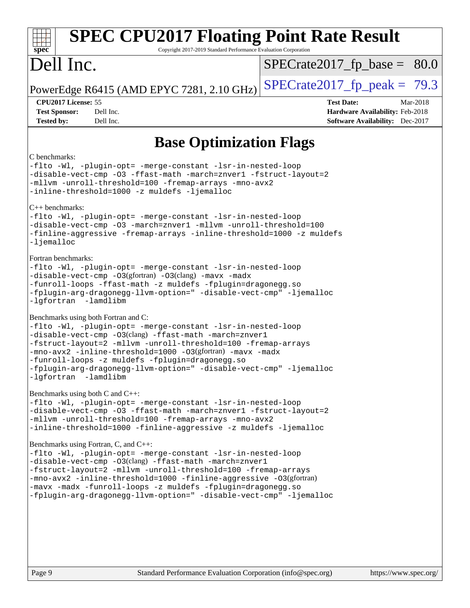| <b>SPEC CPU2017 Floating Point Rate Result</b><br>spec <sup>®</sup><br>Copyright 2017-2019 Standard Performance Evaluation Corporation                                                                                                                                                                                                                                                                                                                                                                                                                                                                                                                                                                                                                                                                                      |                                                                                                            |
|-----------------------------------------------------------------------------------------------------------------------------------------------------------------------------------------------------------------------------------------------------------------------------------------------------------------------------------------------------------------------------------------------------------------------------------------------------------------------------------------------------------------------------------------------------------------------------------------------------------------------------------------------------------------------------------------------------------------------------------------------------------------------------------------------------------------------------|------------------------------------------------------------------------------------------------------------|
| Dell Inc.                                                                                                                                                                                                                                                                                                                                                                                                                                                                                                                                                                                                                                                                                                                                                                                                                   | $SPECrate2017_fp\_base = 80.0$                                                                             |
| PowerEdge R6415 (AMD EPYC 7281, 2.10 GHz)                                                                                                                                                                                                                                                                                                                                                                                                                                                                                                                                                                                                                                                                                                                                                                                   | $SPECTate2017_fp\_peak = 79.3$                                                                             |
| CPU2017 License: 55<br><b>Test Sponsor:</b><br>Dell Inc.<br>Dell Inc.<br><b>Tested by:</b>                                                                                                                                                                                                                                                                                                                                                                                                                                                                                                                                                                                                                                                                                                                                  | <b>Test Date:</b><br>Mar-2018<br>Hardware Availability: Feb-2018<br><b>Software Availability:</b> Dec-2017 |
| <b>Base Optimization Flags</b>                                                                                                                                                                                                                                                                                                                                                                                                                                                                                                                                                                                                                                                                                                                                                                                              |                                                                                                            |
| C benchmarks:<br>-flto -Wl, -plugin-opt= -merge-constant -lsr-in-nested-loop<br>-disable-vect-cmp -03 -ffast-math -march=znver1 -fstruct-layout=2<br>-mllvm -unroll-threshold=100 -fremap-arrays -mno-avx2<br>-inline-threshold=1000 -z muldefs -ljemalloc<br>$C_{++}$ benchmarks:<br>-flto -Wl, -plugin-opt= -merge-constant -lsr-in-nested-loop<br>-disable-vect-cmp -03 -march=znver1 -mllvm -unroll-threshold=100<br>-finline-aggressive -fremap-arrays -inline-threshold=1000 -z muldefs<br>$-Ij$ emalloc<br>Fortran benchmarks:<br>-flto -Wl, -plugin-opt= -merge-constant -lsr-in-nested-loop<br>-disable-vect-cmp -03(gfortran) -03(clang) -mavx -madx<br>-funroll-loops -ffast-math -z muldefs -fplugin=dragonegg.so<br>-fplugin-arg-dragonegg-llvm-option=" -disable-vect-cmp" -ljemalloc<br>-lgfortran -lamdlibm |                                                                                                            |
| Benchmarks using both Fortran and C:<br>-flto -Wl, -plugin-opt= -merge-constant -lsr-in-nested-loop<br>-disable-vect-cmp -03(clang) -ffast-math -march=znver1<br>-fstruct-layout=2 -mllvm -unroll-threshold=100 -fremap-arrays<br>-mno-avx2 -inline-threshold=1000 -03(gfortran) -mavx -madx<br>-funroll-loops -z muldefs -fplugin=dragonegg.so<br>-fplugin-arg-dragonegg-llvm-option=" -disable-vect-cmp" -ljemalloc<br>-lgfortran -lamdlibm                                                                                                                                                                                                                                                                                                                                                                               |                                                                                                            |
| Benchmarks using both C and C++:<br>-flto -Wl, -plugin-opt= -merge-constant -lsr-in-nested-loop<br>-disable-vect-cmp -03 -ffast-math -march=znver1 -fstruct-layout=2<br>-mllvm -unroll-threshold=100 -fremap-arrays -mno-avx2<br>-inline-threshold=1000 -finline-aggressive -z muldefs -ljemalloc                                                                                                                                                                                                                                                                                                                                                                                                                                                                                                                           |                                                                                                            |
| Benchmarks using Fortran, C, and C++:<br>-flto -Wl, -plugin-opt= -merge-constant -lsr-in-nested-loop<br>-disable-vect-cmp -03(clang) -ffast-math -march=znver1<br>-fstruct-layout=2 -mllvm -unroll-threshold=100 -fremap-arrays<br>-mno-avx2 -inline-threshold=1000 -finline-aggressive -03(gfortran)<br>-mavx -madx -funroll-loops -z muldefs -fplugin=dragonegg.so<br>-fplugin-arg-dragonegg-llvm-option=" -disable-vect-cmp" -ljemalloc                                                                                                                                                                                                                                                                                                                                                                                  |                                                                                                            |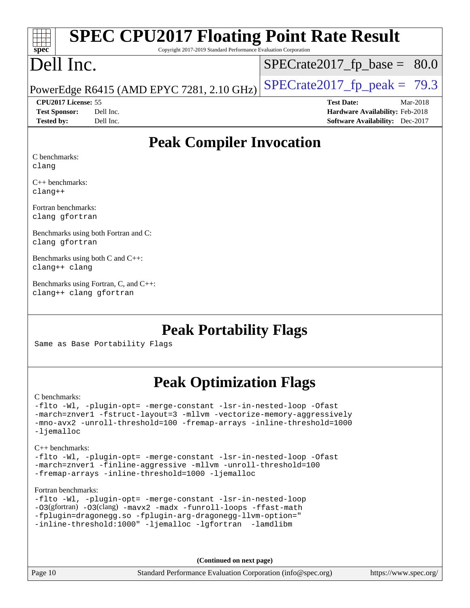# **[spec](http://www.spec.org/)**

## **[SPEC CPU2017 Floating Point Rate Result](http://www.spec.org/auto/cpu2017/Docs/result-fields.html#SPECCPU2017FloatingPointRateResult)**

Copyright 2017-2019 Standard Performance Evaluation Corporation

## Dell Inc.

 $SPECrate2017_fp\_base = 80.0$ 

### PowerEdge R6415 (AMD EPYC 7281, 2.10 GHz)  $\left|$  [SPECrate2017\\_fp\\_peak =](http://www.spec.org/auto/cpu2017/Docs/result-fields.html#SPECrate2017fppeak) 79.3

**[Test Sponsor:](http://www.spec.org/auto/cpu2017/Docs/result-fields.html#TestSponsor)** Dell Inc. **[Hardware Availability:](http://www.spec.org/auto/cpu2017/Docs/result-fields.html#HardwareAvailability)** Feb-2018 **[Tested by:](http://www.spec.org/auto/cpu2017/Docs/result-fields.html#Testedby)** Dell Inc. **[Software Availability:](http://www.spec.org/auto/cpu2017/Docs/result-fields.html#SoftwareAvailability)** Dec-2017

**[CPU2017 License:](http://www.spec.org/auto/cpu2017/Docs/result-fields.html#CPU2017License)** 55 **[Test Date:](http://www.spec.org/auto/cpu2017/Docs/result-fields.html#TestDate)** Mar-2018

**[Peak Compiler Invocation](http://www.spec.org/auto/cpu2017/Docs/result-fields.html#PeakCompilerInvocation)**

[C benchmarks:](http://www.spec.org/auto/cpu2017/Docs/result-fields.html#Cbenchmarks) [clang](http://www.spec.org/cpu2017/results/res2018q2/cpu2017-20180319-04050.flags.html#user_CCpeak_Fclang3)

[C++ benchmarks](http://www.spec.org/auto/cpu2017/Docs/result-fields.html#CXXbenchmarks): [clang++](http://www.spec.org/cpu2017/results/res2018q2/cpu2017-20180319-04050.flags.html#user_CXXpeak_Fclang3_57a48582e5be507d19b2527b3e7d4f85d9b8669ffc9a8a0dbb9bcf949a918a58bbab411e0c4d14a3922022a3e425a90db94042683824c1806feff4324ca1000d)

[Fortran benchmarks:](http://www.spec.org/auto/cpu2017/Docs/result-fields.html#Fortranbenchmarks) [clang](http://www.spec.org/cpu2017/results/res2018q2/cpu2017-20180319-04050.flags.html#user_FCpeak_Fclang3) [gfortran](http://www.spec.org/cpu2017/results/res2018q2/cpu2017-20180319-04050.flags.html#user_FCpeak_gfortran)

[Benchmarks using both Fortran and C:](http://www.spec.org/auto/cpu2017/Docs/result-fields.html#BenchmarksusingbothFortranandC) [clang](http://www.spec.org/cpu2017/results/res2018q2/cpu2017-20180319-04050.flags.html#user_CC_FCpeak_Fclang3) [gfortran](http://www.spec.org/cpu2017/results/res2018q2/cpu2017-20180319-04050.flags.html#user_CC_FCpeak_gfortran)

[Benchmarks using both C and C++](http://www.spec.org/auto/cpu2017/Docs/result-fields.html#BenchmarksusingbothCandCXX): [clang++](http://www.spec.org/cpu2017/results/res2018q2/cpu2017-20180319-04050.flags.html#user_CC_CXXpeak_Fclang3_57a48582e5be507d19b2527b3e7d4f85d9b8669ffc9a8a0dbb9bcf949a918a58bbab411e0c4d14a3922022a3e425a90db94042683824c1806feff4324ca1000d) [clang](http://www.spec.org/cpu2017/results/res2018q2/cpu2017-20180319-04050.flags.html#user_CC_CXXpeak_Fclang3)

[Benchmarks using Fortran, C, and C++](http://www.spec.org/auto/cpu2017/Docs/result-fields.html#BenchmarksusingFortranCandCXX): [clang++](http://www.spec.org/cpu2017/results/res2018q2/cpu2017-20180319-04050.flags.html#user_CC_CXX_FCpeak_Fclang3_57a48582e5be507d19b2527b3e7d4f85d9b8669ffc9a8a0dbb9bcf949a918a58bbab411e0c4d14a3922022a3e425a90db94042683824c1806feff4324ca1000d) [clang](http://www.spec.org/cpu2017/results/res2018q2/cpu2017-20180319-04050.flags.html#user_CC_CXX_FCpeak_Fclang3) [gfortran](http://www.spec.org/cpu2017/results/res2018q2/cpu2017-20180319-04050.flags.html#user_CC_CXX_FCpeak_gfortran)

### **[Peak Portability Flags](http://www.spec.org/auto/cpu2017/Docs/result-fields.html#PeakPortabilityFlags)**

Same as Base Portability Flags

## **[Peak Optimization Flags](http://www.spec.org/auto/cpu2017/Docs/result-fields.html#PeakOptimizationFlags)**

#### [C benchmarks](http://www.spec.org/auto/cpu2017/Docs/result-fields.html#Cbenchmarks):

[-flto](http://www.spec.org/cpu2017/results/res2018q2/cpu2017-20180319-04050.flags.html#user_CCpeak_F-flto) [-Wl,](http://www.spec.org/cpu2017/results/res2018q2/cpu2017-20180319-04050.flags.html#user_CCpeak_F-Wl_5f669859b7c1a0295edc4f5fd536c381023f180a987810cb5cfa1d9467a27ac14b13770b9732d7618b24fc778f3dfdf68b65521d505fc870281e0142944925a0) [-plugin-opt=](http://www.spec.org/cpu2017/results/res2018q2/cpu2017-20180319-04050.flags.html#user_CCpeak_F-plugin-opt_772899571bb6157e4b8feeb3276e6c06dec41c1bbb0aa637c8700742a4baaf7e7b56061e32ae2365a76a44d8c448177ca3ee066cdf7537598ff772fc461942c2) [-merge-constant](http://www.spec.org/cpu2017/results/res2018q2/cpu2017-20180319-04050.flags.html#user_CCpeak_F-merge-constant_bdb3ec75d21d5cf0ab1961ebe7105d0ea3b0c6d89a312cf7efc1d107e6c56c92c36b5d564d0702d1e2526f6b92f188b4413eb5a54b1f9e4a41f5a9bfc0233b92) [-lsr-in-nested-loop](http://www.spec.org/cpu2017/results/res2018q2/cpu2017-20180319-04050.flags.html#user_CCpeak_F-lsr-in-nested-loop) [-Ofast](http://www.spec.org/cpu2017/results/res2018q2/cpu2017-20180319-04050.flags.html#user_CCpeak_F-Ofast) [-march=znver1](http://www.spec.org/cpu2017/results/res2018q2/cpu2017-20180319-04050.flags.html#user_CCpeak_march_082ab2c5e8f99f69c47c63adfdc26f9617958cc68d0b5dbfb7aa6935cde4c91d5d9c2fdc24e6781fa8a0299196f2f4ca8e995f825d797de797910507b4251bb3) [-fstruct-layout=3](http://www.spec.org/cpu2017/results/res2018q2/cpu2017-20180319-04050.flags.html#user_CCpeak_F-fstruct-layout) [-mllvm](http://www.spec.org/cpu2017/results/res2018q2/cpu2017-20180319-04050.flags.html#user_CCpeak_F-mllvm_76e3f86ef8d8cc4dfa84cec42d531db351fee284f72cd5d644b5bdbef9c2604296512be6a431d9e19d0523544399ea9dd745afc2fff755a0705d428460dc659e) [-vectorize-memory-aggressively](http://www.spec.org/cpu2017/results/res2018q2/cpu2017-20180319-04050.flags.html#user_CCpeak_F-vectorize-memory-aggressively) [-mno-avx2](http://www.spec.org/cpu2017/results/res2018q2/cpu2017-20180319-04050.flags.html#user_CCpeak_F-mno-avx2) [-unroll-threshold=100](http://www.spec.org/cpu2017/results/res2018q2/cpu2017-20180319-04050.flags.html#user_CCpeak_F-unroll-threshold) [-fremap-arrays](http://www.spec.org/cpu2017/results/res2018q2/cpu2017-20180319-04050.flags.html#user_CCpeak_F-fremap-arrays) [-inline-threshold=1000](http://www.spec.org/cpu2017/results/res2018q2/cpu2017-20180319-04050.flags.html#user_CCpeak_F-inline-threshold_1daf3e0321a7a0c1ea19068c818f3f119b1e5dfc986cc791557791f4b93536c1546ba0c8585f62303269f504aa232e0ca278e8489928152e32e0752215741730) [-ljemalloc](http://www.spec.org/cpu2017/results/res2018q2/cpu2017-20180319-04050.flags.html#user_CCpeak_F-ljemalloc)

#### [C++ benchmarks:](http://www.spec.org/auto/cpu2017/Docs/result-fields.html#CXXbenchmarks)

[-flto](http://www.spec.org/cpu2017/results/res2018q2/cpu2017-20180319-04050.flags.html#user_CXXpeak_F-flto) [-Wl,](http://www.spec.org/cpu2017/results/res2018q2/cpu2017-20180319-04050.flags.html#user_CXXpeak_F-Wl_5f669859b7c1a0295edc4f5fd536c381023f180a987810cb5cfa1d9467a27ac14b13770b9732d7618b24fc778f3dfdf68b65521d505fc870281e0142944925a0) [-plugin-opt=](http://www.spec.org/cpu2017/results/res2018q2/cpu2017-20180319-04050.flags.html#user_CXXpeak_F-plugin-opt_772899571bb6157e4b8feeb3276e6c06dec41c1bbb0aa637c8700742a4baaf7e7b56061e32ae2365a76a44d8c448177ca3ee066cdf7537598ff772fc461942c2) [-merge-constant](http://www.spec.org/cpu2017/results/res2018q2/cpu2017-20180319-04050.flags.html#user_CXXpeak_F-merge-constant_bdb3ec75d21d5cf0ab1961ebe7105d0ea3b0c6d89a312cf7efc1d107e6c56c92c36b5d564d0702d1e2526f6b92f188b4413eb5a54b1f9e4a41f5a9bfc0233b92) [-lsr-in-nested-loop](http://www.spec.org/cpu2017/results/res2018q2/cpu2017-20180319-04050.flags.html#user_CXXpeak_F-lsr-in-nested-loop) [-Ofast](http://www.spec.org/cpu2017/results/res2018q2/cpu2017-20180319-04050.flags.html#user_CXXpeak_F-Ofast) [-march=znver1](http://www.spec.org/cpu2017/results/res2018q2/cpu2017-20180319-04050.flags.html#user_CXXpeak_march_082ab2c5e8f99f69c47c63adfdc26f9617958cc68d0b5dbfb7aa6935cde4c91d5d9c2fdc24e6781fa8a0299196f2f4ca8e995f825d797de797910507b4251bb3) [-finline-aggressive](http://www.spec.org/cpu2017/results/res2018q2/cpu2017-20180319-04050.flags.html#user_CXXpeak_F-finline-aggressive) [-mllvm](http://www.spec.org/cpu2017/results/res2018q2/cpu2017-20180319-04050.flags.html#user_CXXpeak_F-mllvm_76e3f86ef8d8cc4dfa84cec42d531db351fee284f72cd5d644b5bdbef9c2604296512be6a431d9e19d0523544399ea9dd745afc2fff755a0705d428460dc659e) [-unroll-threshold=100](http://www.spec.org/cpu2017/results/res2018q2/cpu2017-20180319-04050.flags.html#user_CXXpeak_F-unroll-threshold) [-fremap-arrays](http://www.spec.org/cpu2017/results/res2018q2/cpu2017-20180319-04050.flags.html#user_CXXpeak_F-fremap-arrays) [-inline-threshold=1000](http://www.spec.org/cpu2017/results/res2018q2/cpu2017-20180319-04050.flags.html#user_CXXpeak_F-inline-threshold_1daf3e0321a7a0c1ea19068c818f3f119b1e5dfc986cc791557791f4b93536c1546ba0c8585f62303269f504aa232e0ca278e8489928152e32e0752215741730) [-ljemalloc](http://www.spec.org/cpu2017/results/res2018q2/cpu2017-20180319-04050.flags.html#user_CXXpeak_F-ljemalloc)

#### [Fortran benchmarks](http://www.spec.org/auto/cpu2017/Docs/result-fields.html#Fortranbenchmarks):

|                                                            |  | -flto -Wl, -plugin-opt= -merge-constant -lsr-in-nested-loop      |
|------------------------------------------------------------|--|------------------------------------------------------------------|
|                                                            |  | -03(gfortran) -03(clang) -mavx2 -madx -funroll-loops -ffast-math |
| -fplugin=dragonegg.so -fplugin-arg-dragonegg-llvm-option=" |  |                                                                  |
| -inline-threshold:1000" -ljemalloc -lgfortran -lamdlibm    |  |                                                                  |

**(Continued on next page)**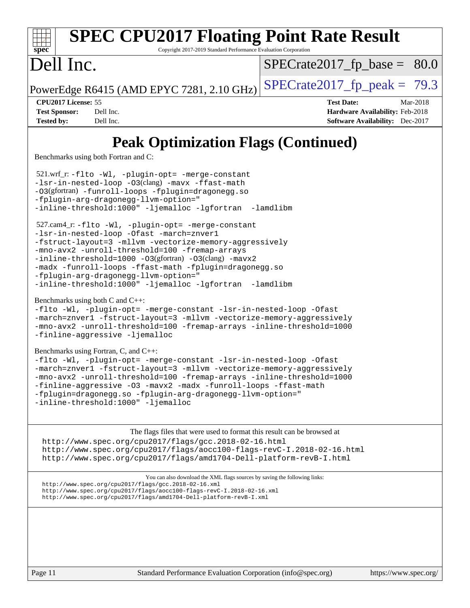| <b>SPEC CPU2017 Floating Point Rate Result</b><br>Spec<br>Copyright 2017-2019 Standard Performance Evaluation Corporation                                                                                                                                                                                                                                                                                                            |                                                                                                            |
|--------------------------------------------------------------------------------------------------------------------------------------------------------------------------------------------------------------------------------------------------------------------------------------------------------------------------------------------------------------------------------------------------------------------------------------|------------------------------------------------------------------------------------------------------------|
| Dell Inc.                                                                                                                                                                                                                                                                                                                                                                                                                            | $SPECrate2017_fp\_base = 80.0$                                                                             |
| PowerEdge R6415 (AMD EPYC 7281, 2.10 GHz)                                                                                                                                                                                                                                                                                                                                                                                            | $SPECrate2017_fp\_peak = 79.3$                                                                             |
| CPU2017 License: 55<br><b>Test Sponsor:</b><br>Dell Inc.<br>Dell Inc.<br><b>Tested by:</b>                                                                                                                                                                                                                                                                                                                                           | <b>Test Date:</b><br>Mar-2018<br>Hardware Availability: Feb-2018<br><b>Software Availability:</b> Dec-2017 |
| <b>Peak Optimization Flags (Continued)</b><br>Benchmarks using both Fortran and C:                                                                                                                                                                                                                                                                                                                                                   |                                                                                                            |
| 521.wrf_r:-flto -Wl, -plugin-opt= -merge-constant<br>-lsr-in-nested-loop -03(clang) -mavx -ffast-math<br>-03(gfortran) -funroll-loops -fplugin=dragonegg.so<br>-fplugin-arg-dragonegg-llvm-option="<br>-inline-threshold:1000" -ljemalloc -lgfortran -lamdlibm                                                                                                                                                                       |                                                                                                            |
| 527.cam4_r: -flto -Wl, -plugin-opt= -merge-constant<br>-lsr-in-nested-loop -Ofast -march=znver1<br>-fstruct-layout=3 -mllvm -vectorize-memory-aggressively<br>-mno-avx2 -unroll-threshold=100 -fremap-arrays<br>-inline-threshold=1000 -03(gfortran) -03(clang) -mavx2<br>-madx -funroll-loops -ffast-math -fplugin=dragonegg.so<br>-fplugin-arg-dragonegg-llvm-option="<br>-inline-threshold:1000" -ljemalloc -lgfortran -lamdlibm  |                                                                                                            |
| Benchmarks using both C and C++:<br>-flto -Wl, -plugin-opt= -merge-constant -lsr-in-nested-loop -Ofast<br>-march=znver1 -fstruct-layout=3 -mllvm -vectorize-memory-aggressively<br>-mno-avx2 -unroll-threshold=100 -fremap-arrays -inline-threshold=1000<br>-finline-aggressive -ljemalloc                                                                                                                                           |                                                                                                            |
| Benchmarks using Fortran, C, and C++:<br>-flto -Wl, -plugin-opt= -merge-constant -lsr-in-nested-loop -Ofast<br>-march=znver1 -fstruct-layout=3 -mllvm -vectorize-memory-aggressively<br>-mno-avx2 -unroll-threshold=100 -fremap-arrays -inline-threshold=1000<br>-finline-aggressive -03 -mavx2 -madx -funroll-loops -ffast-math<br>-fplugin=dragonegg.so -fplugin-arg-dragonegg-llvm-option="<br>-inline-threshold:1000" -ljemalloc |                                                                                                            |
| The flags files that were used to format this result can be browsed at<br>http://www.spec.org/cpu2017/flags/gcc.2018-02-16.html<br>http://www.spec.org/cpu2017/flags/aocc100-flags-revC-I.2018-02-16.html<br>http://www.spec.org/cpu2017/flags/amd1704-Dell-platform-revB-I.html                                                                                                                                                     |                                                                                                            |
| You can also download the XML flags sources by saving the following links:<br>http://www.spec.org/cpu2017/flags/gcc.2018-02-16.xml<br>http://www.spec.org/cpu2017/flags/aocc100-flags-revC-I.2018-02-16.xml<br>http://www.spec.org/cpu2017/flags/amd1704-Dell-platform-revB-I.xml                                                                                                                                                    |                                                                                                            |
|                                                                                                                                                                                                                                                                                                                                                                                                                                      |                                                                                                            |